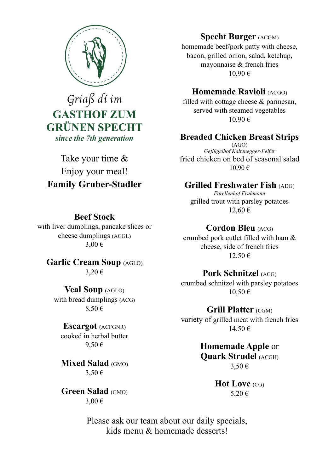

*Gria*ß *di im* **GASTHOF ZUM GRÜNEN SPECHT** *since the 7th generation*

Take your time & Enjoy your meal! **Family Gruber-Stadler**

### **Beef Stock**

with liver dumplings, pancake slices or cheese dumplings (ACGL) 3,00 €

**Garlic Cream Soup** (AGLO) 3,20 €

**Veal Soup** (AGLO) with bread dumplings (ACG) 8,50 €

**Escargot** (ACFGNR) cooked in herbal butter 9,50 €

**Mixed Salad** (GMO) 3,50 €

**Green Salad** (GMO) 3,00 €

### **Specht Burger** (ACGM)

homemade beef/pork patty with cheese, bacon, grilled onion, salad, ketchup, mayonnaise & french fries 10,90 €

### **Homemade Ravioli** (ACGO)

filled with cottage cheese & parmesan, served with steamed vegetables 10,90 €

### **Breaded Chicken Breast Strips**

(AGO) *Geflügelhof Kaltenegger-Felfer* fried chicken on bed of seasonal salad 10,90 €

**Grilled Freshwater Fish** (ADG) *Forellenhof Fruhmann*

grilled trout with parsley potatoes 12,60 €

#### **Cordon Bleu** (ACG)

crumbed pork cutlet filled with ham & cheese, side of french fries 12,50 €

### **Pork Schnitzel** (ACG)

crumbed schnitzel with parsley potatoes 10,50 €

**Grill Platter** (CGM) variety of grilled meat with french fries 14,50 €

### **Homemade Apple** or **Quark Strudel** (ACGH)

 $3.50 \in$ 

**Hot Love** (CG) 5,20 €

Please ask our team about our daily specials, kids menu & homemade desserts!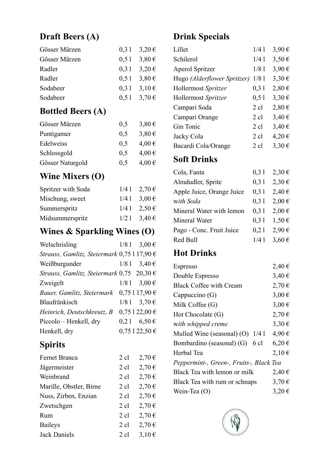# **Draft Beers (A)**

| Gösser Märzen | $0,31$ $3,20 \in$     |
|---------------|-----------------------|
| Gösser Märzen | $0,51$ $3,80 \in$     |
| Radler        | $0,31$ $3,20 \in$     |
| Radler        | $0,51$ $3,80 \in$     |
| Sodabeer      | $0,31 \quad 3,10 \in$ |
| Sodabeer      | $0,51$ $3,70 \in$     |
|               |                       |

# **Bottled Beers (A)**

| 0,5 | $3,80 \in$ |
|-----|------------|
| 0,5 | $3,80 \in$ |
| 0,5 | 4,00€      |
| 0,5 | 4,00€      |
| 0,5 | 4,00€      |
|     |            |

# **Wine Mixers (O)**

| Spritzer with Soda | $1/41$ $2,70 \in$ |
|--------------------|-------------------|
| Mischung, sweet    | $1/41$ 3,00 €     |
| Summerspritz       | $1/41$ $2,50 \in$ |
| Midsummerspritz    | $1/2 1$ 3,40 €    |

### **Wines & Sparkling Wines (O)**

| Welschrisling                                      | $1/81$ 3.00 €    |
|----------------------------------------------------|------------------|
| Strauss, Gamlitz, Steiermark 0,75 1 17,90 €        |                  |
| Weißburgunder                                      | $1/81$ 3,40 €    |
| Strauss, Gamlitz, Steiermark 0,75 20,30 $\epsilon$ |                  |
| Zweigelt                                           | $1/81$ 3,00 €    |
| Bauer, Gamlitz, Steiermark                         | 0,75117,90€      |
| Blaufränkisch                                      | $1/81$ 3,70 €    |
| Heinrich, Deutschkreutz, B                         | 0,75122,00€      |
| Piccolo – Henkell, dry                             | $0,21$ 6,50 €    |
| Henkell, dry                                       | $0,75122,50 \in$ |

### **Spirits**

| Fernet Branca           | $2$ cl | 2,70€ |
|-------------------------|--------|-------|
| Jägermeister            | 2 cl   | 2,70€ |
| Weinbrand               | 2 cl   | 2,70€ |
| Marille, Obstler, Birne | 2 cl   | 2,70€ |
| Nuss, Zirben, Enzian    | 2 cl   | 2,70€ |
| Zwetschgen              | 2 cl   | 2,70€ |
| Rum                     | 2 cl   | 2,70€ |
| <b>Baileys</b>          | $2$ cl | 2,70€ |
| <b>Jack Daniels</b>     | $2$ cl | 3,10€ |

# **Drink Specials**

| Lillet                      | 1/41  | 3,90€      |
|-----------------------------|-------|------------|
| Schilerol                   | 1/41  | $3,50 \in$ |
| <b>Aperol Spritzer</b>      | 1/81  | 3,90€      |
| Hugo (Alderflower Spritzer) | 1/81  | $3,30 \in$ |
| Hollermost Spritzer         | 0,31  | $2,80 \in$ |
| Hollermost Spritzer         | 0, 51 | $3,30 \in$ |
| Campari Soda                | 2 cl  | $2,80 \in$ |
| Campari Orange              | 2 cl  | 3,40€      |
| Gin Tonic                   | 2 cl  | 3,40€      |
| Jacky Cola                  | 2 cl  | 4,20€      |
| Bacardi Cola/Orange         | 2 cl  | $3,30 \in$ |
|                             |       |            |

# **Soft Drinks**

| Cola, Fanta               | 0,31 | $2,30 \in$ |
|---------------------------|------|------------|
| Almdudler, Sprite         | 0,31 | $2,30 \in$ |
| Apple Juice, Orange Juice | 0,31 | 2,40€      |
| with Soda                 | 0,31 | 2,00€      |
| Mineral Water with lemon  | 0,31 | 2,00€      |
| Mineral Water             | 0,31 | $1,50 \in$ |
| Pago - Conc. Fruit Juice  | 0.21 | 2,90€      |
| Red Bull                  | 1/41 | $3,60 \in$ |
|                           |      |            |

# **Hot Drinks**

| Espresso                                | 2,40€      |  |
|-----------------------------------------|------------|--|
| Double Espresso                         | 3,40€      |  |
| <b>Black Coffee with Cream</b>          | 2,70€      |  |
| Cappuccino $(G)$                        | $3,00 \in$ |  |
| Milk Coffee $(G)$                       | $3,00 \in$ |  |
| Hot Chocolate (G)                       | 2,70€      |  |
| with whipped creme                      | $3,30 \in$ |  |
| Mulled Wine (seasonal) (O) $1/41$       | 4,90€      |  |
| Bombardino (seasonal) (G) 6 cl          | $6,20 \in$ |  |
| Herbal Tea                              | 2,10€      |  |
| Peppermint-, Green-, Fruits-, Black Tea |            |  |
| Black Tea with lemon or milk            | 2,40€      |  |
| Black Tea with rum or schnaps           | 3,70€      |  |
| Wein-Tea $(O)$                          | 3,20€      |  |